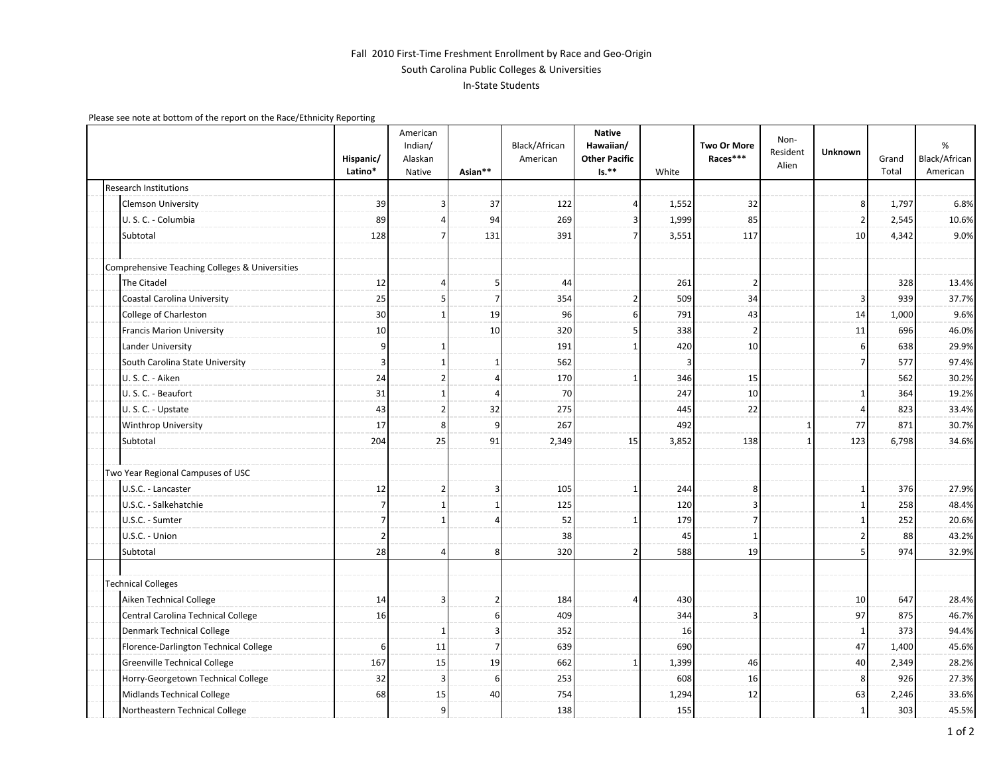## Fall 2010 First-Time Freshment Enrollment by Race and Geo-Origin South Carolina Public Colleges & Universities In-State Students

Please see note at bottom of the report on the Race/Ethnicity Reporting

|                                                | Hispanic/<br>Latino* | American<br>Indian/<br>Alaskan<br>Native | Asian**        | Black/African<br>American | <b>Native</b><br>Hawaiian/<br><b>Other Pacific</b><br>$Is.**$ | White | Two Or More<br>Races*** | Non-<br>Resident<br>Alien | Unknown        | Grand<br>Total | %<br>Black/African<br>American |
|------------------------------------------------|----------------------|------------------------------------------|----------------|---------------------------|---------------------------------------------------------------|-------|-------------------------|---------------------------|----------------|----------------|--------------------------------|
| <b>Research Institutions</b>                   |                      |                                          |                |                           |                                                               |       |                         |                           |                |                |                                |
| <b>Clemson University</b>                      | 39                   |                                          | 37             | 122                       | Δ                                                             | 1,552 | 32                      |                           | 8              | 1,797          | 6.8%                           |
| U.S.C. - Columbia                              | 89                   | 4                                        | 94             | 269                       | 3                                                             | 1,999 | 85                      |                           | $\overline{2}$ | 2,545          | 10.6%                          |
| Subtotal                                       | 128                  | 7                                        | 131            | 391                       | 7                                                             | 3,551 | 117                     |                           | 10             | 4,342          | 9.0%                           |
| Comprehensive Teaching Colleges & Universities |                      |                                          |                |                           |                                                               |       |                         |                           |                |                |                                |
| The Citadel                                    | 12                   | Δ                                        | -5             | 44                        |                                                               | 261   | 2                       |                           |                | 328            | 13.4%                          |
| Coastal Carolina University                    | 25                   | 5                                        | $\overline{7}$ | 354                       | 2                                                             | 509   | 34                      |                           | 3              | 939            | 37.7%                          |
| College of Charleston                          | 30                   |                                          | 19             | 96                        | 6                                                             | 791   | 43                      |                           | 14             | 1,000          | 9.6%                           |
| Francis Marion University                      | 10                   |                                          | 10             | 320                       |                                                               | 338   |                         |                           | 11             | 696            | 46.0%                          |
| Lander University                              | 9                    |                                          |                | 191                       |                                                               | 420   | 10                      |                           | 6              | 638            | 29.9%                          |
| South Carolina State University                | 3                    | 1                                        | 1              | 562                       |                                                               |       |                         |                           |                | 577            | 97.4%                          |
| U.S.C. - Aiken                                 | 24                   | $\overline{2}$                           | $\overline{4}$ | 170                       |                                                               | 346   | 15                      |                           |                | 562            | 30.2%                          |
| U. S. C. - Beaufort                            | 31                   | 1                                        | $\overline{4}$ | 70                        |                                                               | 247   | 10                      |                           |                | 364            | 19.2%                          |
| U.S.C. - Upstate                               | 43                   | $\overline{2}$                           | 32             | 275                       |                                                               | 445   | 22                      |                           |                | 823            | 33.4%                          |
| <b>Winthrop University</b>                     | 17                   | 8                                        | q              | 267                       |                                                               | 492   |                         | 1                         | 77             | 871            | 30.7%                          |
| Subtotal                                       | 204                  | 25                                       | 91             | 2,349                     | 15                                                            | 3,852 | 138                     | $\mathbf{1}$              | 123            | 6,798          | 34.6%                          |
| Two Year Regional Campuses of USC              |                      |                                          |                |                           |                                                               |       |                         |                           |                |                |                                |
| U.S.C. - Lancaster                             | 12                   | $\overline{2}$                           | $\overline{3}$ | 105                       | -1                                                            | 244   | 8                       |                           |                | 376            | 27.9%                          |
| U.S.C. - Salkehatchie                          | $\overline{7}$       | 1                                        | 1              | 125                       |                                                               | 120   | 3                       |                           |                | 258            | 48.4%                          |
| U.S.C. - Sumter                                | 7                    |                                          | $\Delta$       | 52                        |                                                               | 179   |                         |                           |                | 252            | 20.6%                          |
| U.S.C. - Union                                 | $\overline{2}$       |                                          |                | 38                        |                                                               | 45    |                         |                           |                | 88             | 43.2%                          |
| Subtotal                                       | 28                   | 4                                        | 8              | 320                       | 2                                                             | 588   | 19                      |                           |                | 974            | 32.9%                          |
| <b>Technical Colleges</b>                      |                      |                                          |                |                           |                                                               |       |                         |                           |                |                |                                |
| Aiken Technical College                        | 14                   | 3                                        | $\overline{2}$ | 184                       | Δ                                                             | 430   |                         |                           | 10             | 647            | 28.4%                          |
| Central Carolina Technical College             | 16                   |                                          | 6              | 409                       |                                                               | 344   | Э                       |                           | 97             | 875            | 46.7%                          |
| <b>Denmark Technical College</b>               |                      |                                          | 3              | 352                       |                                                               | 16    |                         |                           | 1              | 373            | 94.4%                          |
| Florence-Darlington Technical College          | 6                    | 11                                       | $\overline{7}$ | 639                       |                                                               | 690   |                         |                           | 47             | 1,400          | 45.6%                          |
| <b>Greenville Technical College</b>            | 167                  | 15                                       | 19             | 662                       |                                                               | 1,399 | 46                      |                           | 40             | 2,349          | 28.2%                          |
| Horry-Georgetown Technical College             | 32                   | 3                                        | 6              | 253                       |                                                               | 608   | 16                      |                           | 8              | 926            | 27.3%                          |
| Midlands Technical College                     | 68                   | 15                                       | 40             | 754                       |                                                               | 1,294 | 12                      |                           | 63             | 2,246          | 33.6%                          |
| Northeastern Technical College                 |                      | 9                                        |                | 138                       |                                                               | 155   |                         |                           | $\mathbf{1}$   | 303            | 45.5%                          |